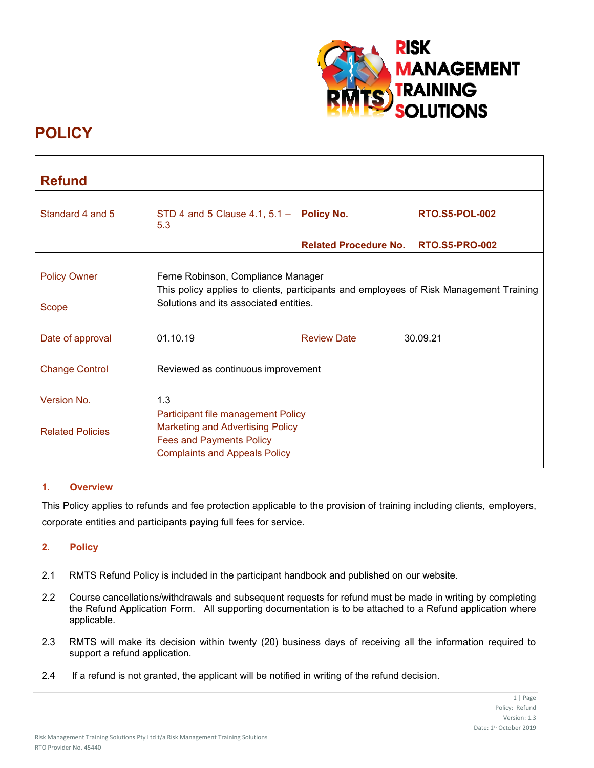

# **POLICY**

| <b>Refund</b>           |                                                                                                                                                          |                              |                       |
|-------------------------|----------------------------------------------------------------------------------------------------------------------------------------------------------|------------------------------|-----------------------|
| Standard 4 and 5        | STD 4 and 5 Clause 4.1, $5.1 -$                                                                                                                          | <b>Policy No.</b>            | <b>RTO.S5-POL-002</b> |
|                         | 5.3                                                                                                                                                      | <b>Related Procedure No.</b> | <b>RTO.S5-PRO-002</b> |
| <b>Policy Owner</b>     | Ferne Robinson, Compliance Manager                                                                                                                       |                              |                       |
| Scope                   | This policy applies to clients, participants and employees of Risk Management Training<br>Solutions and its associated entities.                         |                              |                       |
| Date of approval        | 01.10.19                                                                                                                                                 | <b>Review Date</b>           | 30.09.21              |
| <b>Change Control</b>   | Reviewed as continuous improvement                                                                                                                       |                              |                       |
| Version No.             | 1.3                                                                                                                                                      |                              |                       |
| <b>Related Policies</b> | Participant file management Policy<br><b>Marketing and Advertising Policy</b><br><b>Fees and Payments Policy</b><br><b>Complaints and Appeals Policy</b> |                              |                       |

# **1. Overview**

This Policy applies to refunds and fee protection applicable to the provision of training including clients, employers, corporate entities and participants paying full fees for service.

# **2. Policy**

- 2.1 RMTS Refund Policy is included in the participant handbook and published on our website.
- 2.2 Course cancellations/withdrawals and subsequent requests for refund must be made in writing by completing the Refund Application Form. All supporting documentation is to be attached to a Refund application where applicable.
- 2.3 RMTS will make its decision within twenty (20) business days of receiving all the information required to support a refund application.
- 2.4 If a refund is not granted, the applicant will be notified in writing of the refund decision.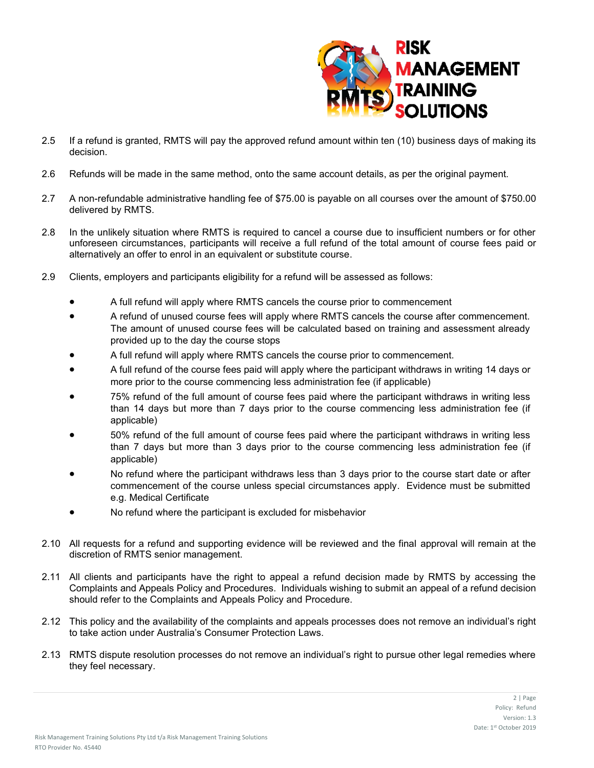

- 2.5 If a refund is granted, RMTS will pay the approved refund amount within ten (10) business days of making its decision.
- 2.6 Refunds will be made in the same method, onto the same account details, as per the original payment.
- 2.7 A non-refundable administrative handling fee of \$75.00 is payable on all courses over the amount of \$750.00 delivered by RMTS.
- 2.8 In the unlikely situation where RMTS is required to cancel a course due to insufficient numbers or for other unforeseen circumstances, participants will receive a full refund of the total amount of course fees paid or alternatively an offer to enrol in an equivalent or substitute course.
- 2.9 Clients, employers and participants eligibility for a refund will be assessed as follows:
	- A full refund will apply where RMTS cancels the course prior to commencement
	- A refund of unused course fees will apply where RMTS cancels the course after commencement. The amount of unused course fees will be calculated based on training and assessment already provided up to the day the course stops
	- A full refund will apply where RMTS cancels the course prior to commencement.
	- A full refund of the course fees paid will apply where the participant withdraws in writing 14 days or more prior to the course commencing less administration fee (if applicable)
	- 75% refund of the full amount of course fees paid where the participant withdraws in writing less than 14 days but more than 7 days prior to the course commencing less administration fee (if applicable)
	- 50% refund of the full amount of course fees paid where the participant withdraws in writing less than 7 days but more than 3 days prior to the course commencing less administration fee (if applicable)
	- No refund where the participant withdraws less than 3 days prior to the course start date or after commencement of the course unless special circumstances apply. Evidence must be submitted e.g. Medical Certificate
	- No refund where the participant is excluded for misbehavior
- 2.10 All requests for a refund and supporting evidence will be reviewed and the final approval will remain at the discretion of RMTS senior management.
- 2.11 All clients and participants have the right to appeal a refund decision made by RMTS by accessing the Complaints and Appeals Policy and Procedures. Individuals wishing to submit an appeal of a refund decision should refer to the Complaints and Appeals Policy and Procedure.
- 2.12 This policy and the availability of the complaints and appeals processes does not remove an individual's right to take action under Australia's Consumer Protection Laws.
- 2.13 RMTS dispute resolution processes do not remove an individual's right to pursue other legal remedies where they feel necessary.